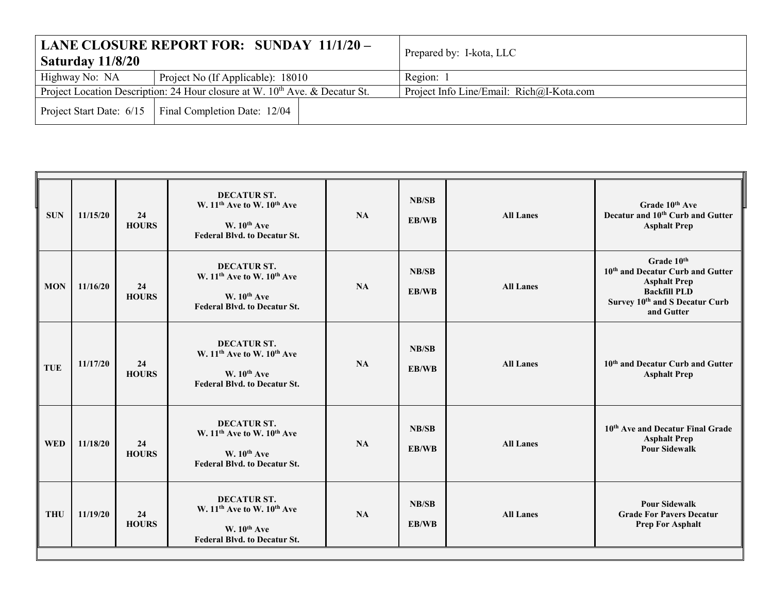| Saturday 11/8/20 | LANE CLOSURE REPORT FOR: SUNDAY 11/1/20 -                                               | Prepared by: I-kota, LLC                 |
|------------------|-----------------------------------------------------------------------------------------|------------------------------------------|
| Highway No: NA   | Project No (If Applicable): 18010                                                       | Region: 1                                |
|                  | Project Location Description: 24 Hour closure at W. 10 <sup>th</sup> Ave. & Decatur St. | Project Info Line/Email: Rich@I-Kota.com |
|                  | Project Start Date: 6/15   Final Completion Date: 12/04                                 |                                          |

| <b>SUN</b> | 11/15/20 | 24<br><b>HOURS</b> | <b>DECATUR ST.</b><br>W. 11 <sup>th</sup> Ave to W. 10 <sup>th</sup> Ave<br>W. 10 <sup>th</sup> Ave<br><b>Federal Blvd. to Decatur St.</b> | <b>NA</b> | <b>NB/SB</b><br>EB/WB | <b>All Lanes</b> | Grade 10 <sup>th</sup> Ave<br>Decatur and 10 <sup>th</sup> Curb and Gutter<br><b>Asphalt Prep</b>                                                        |
|------------|----------|--------------------|--------------------------------------------------------------------------------------------------------------------------------------------|-----------|-----------------------|------------------|----------------------------------------------------------------------------------------------------------------------------------------------------------|
| <b>MON</b> | 11/16/20 | 24<br><b>HOURS</b> | <b>DECATUR ST.</b><br>W. 11 <sup>th</sup> Ave to W. 10 <sup>th</sup> Ave<br>W. 10 <sup>th</sup> Ave<br><b>Federal Blvd. to Decatur St.</b> | <b>NA</b> | <b>NB/SB</b><br>EB/WB | <b>All Lanes</b> | Grade 10th<br>10 <sup>th</sup> and Decatur Curb and Gutter<br><b>Asphalt Prep</b><br><b>Backfill PLD</b><br>Survey 10th and S Decatur Curb<br>and Gutter |
| <b>TUE</b> | 11/17/20 | 24<br><b>HOURS</b> | <b>DECATUR ST.</b><br>W. 11 <sup>th</sup> Ave to W. 10 <sup>th</sup> Ave<br>W. $10^{th}$ Ave<br><b>Federal Blvd. to Decatur St.</b>        | <b>NA</b> | <b>NB/SB</b><br>EB/WB | <b>All Lanes</b> | 10 <sup>th</sup> and Decatur Curb and Gutter<br><b>Asphalt Prep</b>                                                                                      |
| <b>WED</b> | 11/18/20 | 24<br><b>HOURS</b> | DECATUR ST.<br>W. 11 <sup>th</sup> Ave to W. 10 <sup>th</sup> Ave<br>W. $10^{th}$ Ave<br><b>Federal Blvd. to Decatur St.</b>               | <b>NA</b> | <b>NB/SB</b><br>EB/WB | <b>All Lanes</b> | 10 <sup>th</sup> Ave and Decatur Final Grade<br><b>Asphalt Prep</b><br><b>Pour Sidewalk</b>                                                              |
| <b>THU</b> | 11/19/20 | 24<br><b>HOURS</b> | <b>DECATUR ST.</b><br>W. 11 <sup>th</sup> Ave to W. 10 <sup>th</sup> Ave<br>W. $10^{th}$ Ave<br><b>Federal Blvd. to Decatur St.</b>        | <b>NA</b> | <b>NB/SB</b><br>EB/WB | <b>All Lanes</b> | <b>Pour Sidewalk</b><br><b>Grade For Pavers Decatur</b><br><b>Prep For Asphalt</b>                                                                       |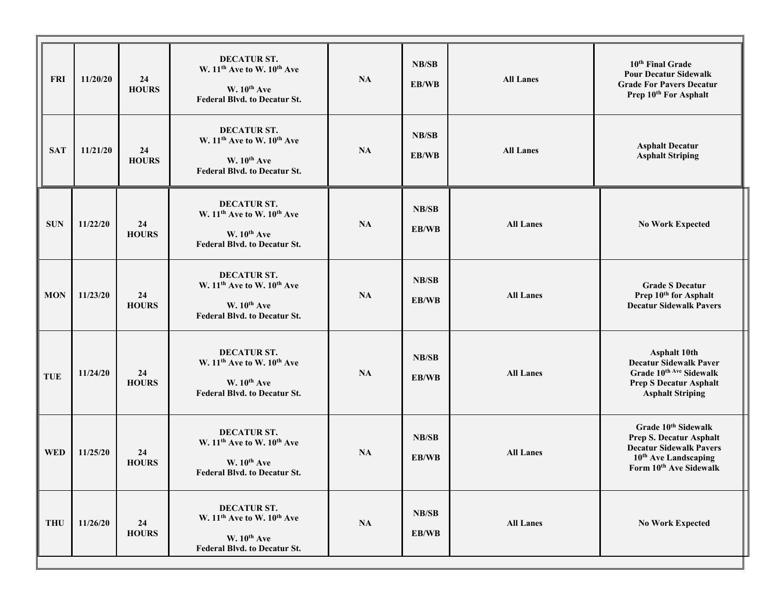| <b>FRI</b> | 11/20/20 | 24<br><b>HOURS</b> | <b>DECATUR ST.</b><br>W. 11 <sup>th</sup> Ave to W. 10 <sup>th</sup> Ave<br>W. 10 <sup>th</sup> Ave<br><b>Federal Blvd. to Decatur St.</b> | NA        | NB/SB<br>EB/WB        | <b>All Lanes</b> | 10 <sup>th</sup> Final Grade<br><b>Pour Decatur Sidewalk</b><br><b>Grade For Pavers Decatur</b><br>Prep 10 <sup>th</sup> For Asphalt                                          |
|------------|----------|--------------------|--------------------------------------------------------------------------------------------------------------------------------------------|-----------|-----------------------|------------------|-------------------------------------------------------------------------------------------------------------------------------------------------------------------------------|
| <b>SAT</b> | 11/21/20 | 24<br><b>HOURS</b> | <b>DECATUR ST.</b><br>W. 11 <sup>th</sup> Ave to W. 10 <sup>th</sup> Ave<br>W. 10 <sup>th</sup> Ave<br><b>Federal Blvd. to Decatur St.</b> | NA        | <b>NB/SB</b><br>EB/WB | <b>All Lanes</b> | <b>Asphalt Decatur</b><br><b>Asphalt Striping</b>                                                                                                                             |
| <b>SUN</b> | 11/22/20 | 24<br><b>HOURS</b> | <b>DECATUR ST.</b><br>W. 11 <sup>th</sup> Ave to W. 10 <sup>th</sup> Ave<br>W. 10 <sup>th</sup> Ave<br><b>Federal Blvd. to Decatur St.</b> | NA        | <b>NB/SB</b><br>EB/WB | <b>All Lanes</b> | <b>No Work Expected</b>                                                                                                                                                       |
| <b>MON</b> | 11/23/20 | 24<br><b>HOURS</b> | DECATUR ST.<br>W. 11 <sup>th</sup> Ave to W. 10 <sup>th</sup> Ave<br>W. 10 <sup>th</sup> Ave<br><b>Federal Blvd. to Decatur St.</b>        | <b>NA</b> | NB/SB<br>EB/WB        | <b>All Lanes</b> | <b>Grade S Decatur</b><br>Prep 10 <sup>th</sup> for Asphalt<br><b>Decatur Sidewalk Pavers</b>                                                                                 |
| <b>TUE</b> | 11/24/20 | 24<br><b>HOURS</b> | <b>DECATUR ST.</b><br>W. 11 <sup>th</sup> Ave to W. 10 <sup>th</sup> Ave<br>W. 10 <sup>th</sup> Ave<br><b>Federal Blvd. to Decatur St.</b> | NA        | <b>NB/SB</b><br>EB/WB | <b>All Lanes</b> | <b>Asphalt 10th</b><br><b>Decatur Sidewalk Paver</b><br>Grade 10th Ave Sidewalk<br><b>Prep S Decatur Asphalt</b><br><b>Asphalt Striping</b>                                   |
| <b>WED</b> | 11/25/20 | 24<br><b>HOURS</b> | <b>DECATUR ST.</b><br>W. 11 <sup>th</sup> Ave to W. 10 <sup>th</sup> Ave<br>W. 10 <sup>th</sup> Ave<br><b>Federal Blvd. to Decatur St.</b> | NA        | <b>NB/SB</b><br>EB/WB | <b>All Lanes</b> | Grade 10 <sup>th</sup> Sidewalk<br><b>Prep S. Decatur Asphalt</b><br><b>Decatur Sidewalk Pavers</b><br>10 <sup>th</sup> Ave Landscaping<br>Form 10 <sup>th</sup> Ave Sidewalk |
| <b>THU</b> | 11/26/20 | 24<br><b>HOURS</b> | <b>DECATUR ST.</b><br>W. 11 <sup>th</sup> Ave to W. 10 <sup>th</sup> Ave<br>W. 10 <sup>th</sup> Ave<br><b>Federal Blvd. to Decatur St.</b> | NA        | <b>NB/SB</b><br>EB/WB | <b>All Lanes</b> | <b>No Work Expected</b>                                                                                                                                                       |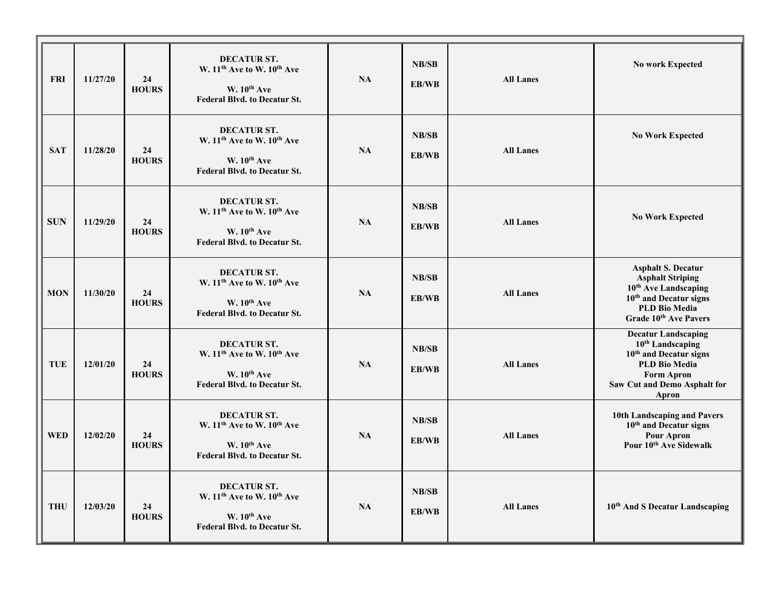| <b>FRI</b> | 11/27/20 | 24<br><b>HOURS</b> | <b>DECATUR ST.</b><br>W. 11 <sup>th</sup> Ave to W. 10 <sup>th</sup> Ave<br>$W. 10th$ Ave<br><b>Federal Blvd. to Decatur St.</b>           | <b>NA</b> | NB/SB<br>EB/WB        | <b>All Lanes</b> | <b>No work Expected</b>                                                                                                                                                             |
|------------|----------|--------------------|--------------------------------------------------------------------------------------------------------------------------------------------|-----------|-----------------------|------------------|-------------------------------------------------------------------------------------------------------------------------------------------------------------------------------------|
| <b>SAT</b> | 11/28/20 | 24<br><b>HOURS</b> | <b>DECATUR ST.</b><br>W. 11 <sup>th</sup> Ave to W. 10 <sup>th</sup> Ave<br>W. 10th Ave<br><b>Federal Blvd. to Decatur St.</b>             | <b>NA</b> | NB/SB<br>EB/WB        | <b>All Lanes</b> | <b>No Work Expected</b>                                                                                                                                                             |
| <b>SUN</b> | 11/29/20 | 24<br><b>HOURS</b> | <b>DECATUR ST.</b><br>W. 11 <sup>th</sup> Ave to W. 10 <sup>th</sup> Ave<br>W. 10 <sup>th</sup> Ave<br><b>Federal Blvd. to Decatur St.</b> | NA        | NB/SB<br>EB/WB        | <b>All Lanes</b> | <b>No Work Expected</b>                                                                                                                                                             |
| <b>MON</b> | 11/30/20 | 24<br><b>HOURS</b> | DECATUR ST.<br>W. 11 <sup>th</sup> Ave to W. 10 <sup>th</sup> Ave<br>W. 10th Ave<br><b>Federal Blvd. to Decatur St.</b>                    | <b>NA</b> | NB/SB<br>EB/WB        | <b>All Lanes</b> | <b>Asphalt S. Decatur</b><br><b>Asphalt Striping</b><br>10 <sup>th</sup> Ave Landscaping<br>$10th$ and Decatur signs<br><b>PLD Bio Media</b><br>Grade 10 <sup>th</sup> Ave Pavers   |
| <b>TUE</b> | 12/01/20 | 24<br><b>HOURS</b> | <b>DECATUR ST.</b><br>W. 11 <sup>th</sup> Ave to W. 10 <sup>th</sup> Ave<br>W. $10^{th}$ Ave<br><b>Federal Blvd. to Decatur St.</b>        | <b>NA</b> | <b>NB/SB</b><br>EB/WB | <b>All Lanes</b> | <b>Decatur Landscaping</b><br>10 <sup>th</sup> Landscaping<br>$10th$ and Decatur signs<br><b>PLD Bio Media</b><br><b>Form Apron</b><br><b>Saw Cut and Demo Asphalt for</b><br>Apron |
| <b>WED</b> | 12/02/20 | 24<br><b>HOURS</b> | DECATUR ST.<br>W. 11 <sup>th</sup> Ave to W. 10 <sup>th</sup> Ave<br>W. 10th Ave<br><b>Federal Blvd. to Decatur St.</b>                    | NA        | NB/SB<br>EB/WB        | <b>All Lanes</b> | 10th Landscaping and Pavers<br>10 <sup>th</sup> and Decatur signs<br><b>Pour Apron</b><br>Pour 10 <sup>th</sup> Ave Sidewalk                                                        |
| <b>THU</b> | 12/03/20 | 24<br><b>HOURS</b> | <b>DECATUR ST.</b><br>W. 11 <sup>th</sup> Ave to W. 10 <sup>th</sup> Ave<br>W. 10th Ave<br><b>Federal Blvd. to Decatur St.</b>             | <b>NA</b> | NB/SB<br>EB/WB        | <b>All Lanes</b> | 10 <sup>th</sup> And S Decatur Landscaping                                                                                                                                          |